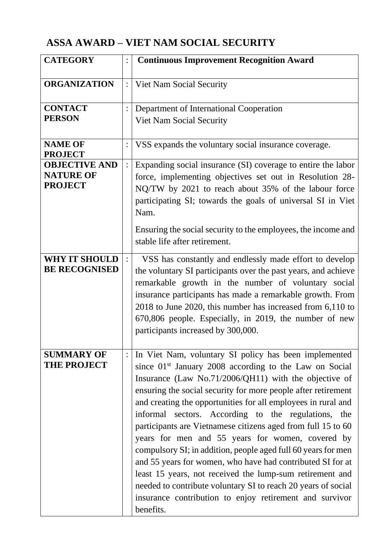## **ASSA AWARD – VIET NAM SOCIAL SECURITY**

| <b>CATEGORY</b>                                            | $\vdots$       | <b>Continuous Improvement Recognition Award</b>                                                                                                                                                                                                                                                                                                                                                                                                                                                                                                                                                                                                                                                                                                                                                                                       |
|------------------------------------------------------------|----------------|---------------------------------------------------------------------------------------------------------------------------------------------------------------------------------------------------------------------------------------------------------------------------------------------------------------------------------------------------------------------------------------------------------------------------------------------------------------------------------------------------------------------------------------------------------------------------------------------------------------------------------------------------------------------------------------------------------------------------------------------------------------------------------------------------------------------------------------|
| <b>ORGANIZATION</b>                                        | $\ddot{\cdot}$ | Viet Nam Social Security                                                                                                                                                                                                                                                                                                                                                                                                                                                                                                                                                                                                                                                                                                                                                                                                              |
| <b>CONTACT</b><br><b>PERSON</b>                            | $\vdots$       | Department of International Cooperation<br><b>Viet Nam Social Security</b>                                                                                                                                                                                                                                                                                                                                                                                                                                                                                                                                                                                                                                                                                                                                                            |
| <b>NAME OF</b><br><b>PROJECT</b>                           |                | VSS expands the voluntary social insurance coverage.                                                                                                                                                                                                                                                                                                                                                                                                                                                                                                                                                                                                                                                                                                                                                                                  |
| <b>OBJECTIVE AND</b><br><b>NATURE OF</b><br><b>PROJECT</b> | $\ddot{\cdot}$ | Expanding social insurance (SI) coverage to entire the labor<br>force, implementing objectives set out in Resolution 28-<br>NQ/TW by 2021 to reach about 35% of the labour force<br>participating SI; towards the goals of universal SI in Viet<br>Nam.<br>Ensuring the social security to the employees, the income and<br>stable life after retirement.                                                                                                                                                                                                                                                                                                                                                                                                                                                                             |
| <b>WHY IT SHOULD</b><br><b>BE RECOGNISED</b>               | $\ddot{\cdot}$ | VSS has constantly and endlessly made effort to develop<br>the voluntary SI participants over the past years, and achieve<br>remarkable growth in the number of voluntary social<br>insurance participants has made a remarkable growth. From<br>2018 to June 2020, this number has increased from 6,110 to<br>670,806 people. Especially, in 2019, the number of new<br>participants increased by 300,000.                                                                                                                                                                                                                                                                                                                                                                                                                           |
| <b>SUMMARY OF</b><br><b>THE PROJECT</b>                    | $\vdots$       | In Viet Nam, voluntary SI policy has been implemented<br>since 01 <sup>st</sup> January 2008 according to the Law on Social<br>Insurance (Law No.71/2006/QH11) with the objective of<br>ensuring the social security for more people after retirement<br>and creating the opportunities for all employees in rural and<br>informal sectors. According to the regulations, the<br>participants are Vietnamese citizens aged from full 15 to 60<br>years for men and 55 years for women, covered by<br>compulsory SI; in addition, people aged full 60 years for men<br>and 55 years for women, who have had contributed SI for at<br>least 15 years, not received the lump-sum retirement and<br>needed to contribute voluntary SI to reach 20 years of social<br>insurance contribution to enjoy retirement and survivor<br>benefits. |